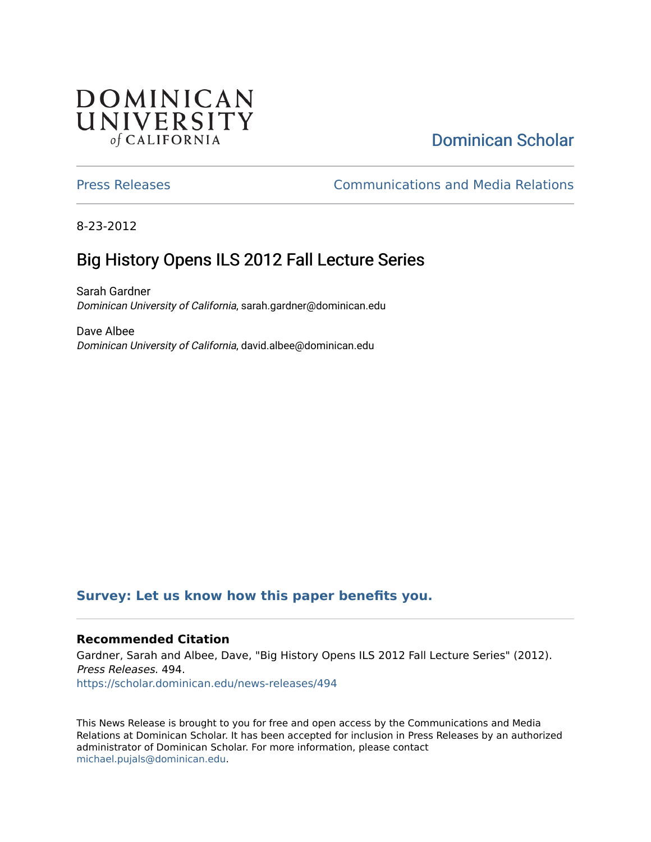## **DOMINICAN** UNIVERSITY of CALIFORNIA

# [Dominican Scholar](https://scholar.dominican.edu/)

[Press Releases](https://scholar.dominican.edu/news-releases) [Communications and Media Relations](https://scholar.dominican.edu/communications-media) 

8-23-2012

# Big History Opens ILS 2012 Fall Lecture Series

Sarah Gardner Dominican University of California, sarah.gardner@dominican.edu

Dave Albee Dominican University of California, david.albee@dominican.edu

#### **[Survey: Let us know how this paper benefits you.](https://dominican.libwizard.com/dominican-scholar-feedback)**

#### **Recommended Citation**

Gardner, Sarah and Albee, Dave, "Big History Opens ILS 2012 Fall Lecture Series" (2012). Press Releases. 494. [https://scholar.dominican.edu/news-releases/494](https://scholar.dominican.edu/news-releases/494?utm_source=scholar.dominican.edu%2Fnews-releases%2F494&utm_medium=PDF&utm_campaign=PDFCoverPages)

This News Release is brought to you for free and open access by the Communications and Media Relations at Dominican Scholar. It has been accepted for inclusion in Press Releases by an authorized administrator of Dominican Scholar. For more information, please contact [michael.pujals@dominican.edu.](mailto:michael.pujals@dominican.edu)